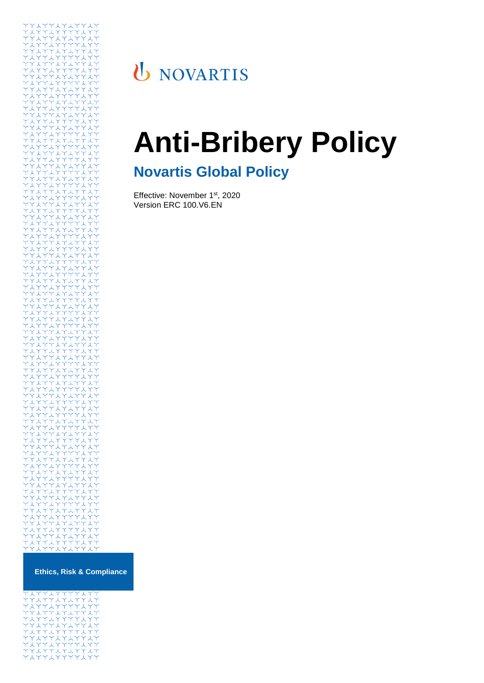

# U NOVARTIS

# **Anti-Bribery Policy**

# **Novartis Global Policy**

Effective: November 1<sup>st</sup>, 2020 Version ERC 100.V6.EN

| .            |
|--------------|
| YYIYYIYIYYIY |
| YIYYIYYYYIYY |
| YYIYYIYIYYIY |
| YIYYIYYYYIYY |
| YYIYYIYIYYIY |
| YIYYIYYYYIYY |
| YYIYYIYIYYIY |
| YIYYIYYYYIYY |
| YYIYYIYIYYIY |
| YIYYIYYYYIYY |
|              |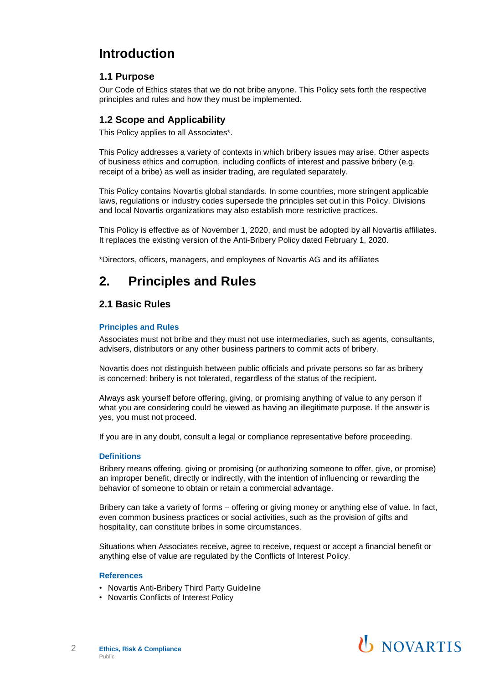# **Introduction**

## **1.1 Purpose**

Our Code of Ethics states that we do not bribe anyone. This Policy sets forth the respective principles and rules and how they must be implemented.

## **1.2 Scope and Applicability**

This Policy applies to all Associates\*.

This Policy addresses a variety of contexts in which bribery issues may arise. Other aspects of business ethics and corruption, including conflicts of interest and passive bribery (e.g. receipt of a bribe) as well as insider trading, are regulated separately.

This Policy contains Novartis global standards. In some countries, more stringent applicable laws, regulations or industry codes supersede the principles set out in this Policy. Divisions and local Novartis organizations may also establish more restrictive practices.

This Policy is effective as of November 1, 2020, and must be adopted by all Novartis affiliates. It replaces the existing version of the Anti-Bribery Policy dated February 1, 2020.

\*Directors, officers, managers, and employees of Novartis AG and its affiliates

# **2. Principles and Rules**

## **2.1 Basic Rules**

#### **Principles and Rules**

Associates must not bribe and they must not use intermediaries, such as agents, consultants, advisers, distributors or any other business partners to commit acts of bribery.

Novartis does not distinguish between public officials and private persons so far as bribery is concerned: bribery is not tolerated, regardless of the status of the recipient.

Always ask yourself before offering, giving, or promising anything of value to any person if what you are considering could be viewed as having an illegitimate purpose. If the answer is yes, you must not proceed.

If you are in any doubt, consult a legal or compliance representative before proceeding.

#### **Definitions**

Bribery means offering, giving or promising (or authorizing someone to offer, give, or promise) an improper benefit, directly or indirectly, with the intention of influencing or rewarding the behavior of someone to obtain or retain a commercial advantage.

Bribery can take a variety of forms – offering or giving money or anything else of value. In fact, even common business practices or social activities, such as the provision of gifts and hospitality, can constitute bribes in some circumstances.

Situations when Associates receive, agree to receive, request or accept a financial benefit or anything else of value are regulated by the Conflicts of Interest Policy.

#### **References**

- Novartis Anti-Bribery Third Party Guideline
- Novartis Conflicts of Interest Policy

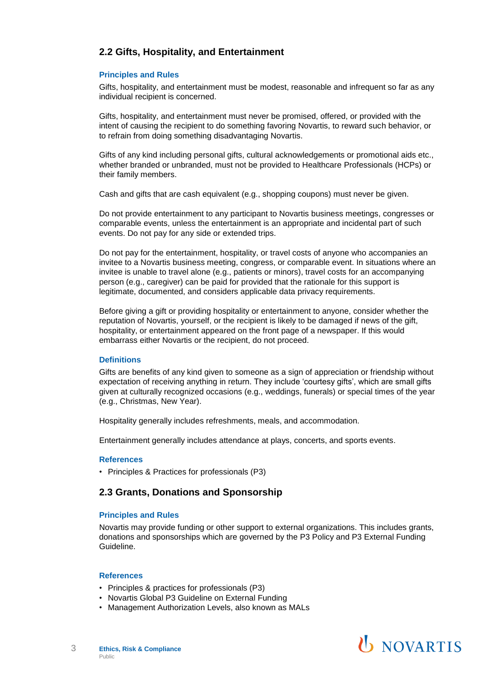# **2.2 Gifts, Hospitality, and Entertainment**

#### **Principles and Rules**

Gifts, hospitality, and entertainment must be modest, reasonable and infrequent so far as any individual recipient is concerned.

Gifts, hospitality, and entertainment must never be promised, offered, or provided with the intent of causing the recipient to do something favoring Novartis, to reward such behavior, or to refrain from doing something disadvantaging Novartis.

Gifts of any kind including personal gifts, cultural acknowledgements or promotional aids etc., whether branded or unbranded, must not be provided to Healthcare Professionals (HCPs) or their family members.

Cash and gifts that are cash equivalent (e.g., shopping coupons) must never be given.

Do not provide entertainment to any participant to Novartis business meetings, congresses or comparable events, unless the entertainment is an appropriate and incidental part of such events. Do not pay for any side or extended trips.

Do not pay for the entertainment, hospitality, or travel costs of anyone who accompanies an invitee to a Novartis business meeting, congress, or comparable event. In situations where an invitee is unable to travel alone (e.g., patients or minors), travel costs for an accompanying person (e.g., caregiver) can be paid for provided that the rationale for this support is legitimate, documented, and considers applicable data privacy requirements.

Before giving a gift or providing hospitality or entertainment to anyone, consider whether the reputation of Novartis, yourself, or the recipient is likely to be damaged if news of the gift, hospitality, or entertainment appeared on the front page of a newspaper. If this would embarrass either Novartis or the recipient, do not proceed.

#### **Definitions**

Gifts are benefits of any kind given to someone as a sign of appreciation or friendship without expectation of receiving anything in return. They include 'courtesy gifts', which are small gifts given at culturally recognized occasions (e.g., weddings, funerals) or special times of the year (e.g., Christmas, New Year).

Hospitality generally includes refreshments, meals, and accommodation.

Entertainment generally includes attendance at plays, concerts, and sports events.

#### **References**

• Principles & Practices for professionals (P3)

#### **2.3 Grants, Donations and Sponsorship**

#### **Principles and Rules**

Novartis may provide funding or other support to external organizations. This includes grants, donations and sponsorships which are governed by the P3 Policy and P3 External Funding Guideline.

#### **References**

- Principles & practices for professionals (P3)
- Novartis Global P3 Guideline on External Funding
- Management Authorization Levels, also known as MALs

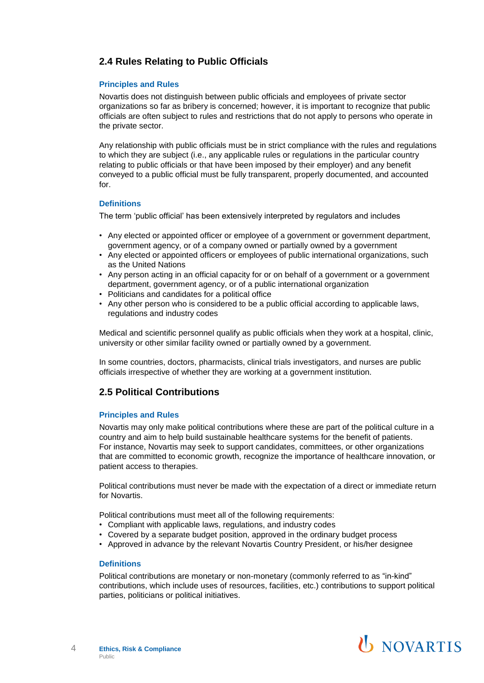# **2.4 Rules Relating to Public Officials**

#### **Principles and Rules**

Novartis does not distinguish between public officials and employees of private sector organizations so far as bribery is concerned; however, it is important to recognize that public officials are often subject to rules and restrictions that do not apply to persons who operate in the private sector.

Any relationship with public officials must be in strict compliance with the rules and regulations to which they are subject (i.e., any applicable rules or regulations in the particular country relating to public officials or that have been imposed by their employer) and any benefit conveyed to a public official must be fully transparent, properly documented, and accounted for.

#### **Definitions**

The term 'public official' has been extensively interpreted by regulators and includes

- Any elected or appointed officer or employee of a government or government department, government agency, or of a company owned or partially owned by a government
- Any elected or appointed officers or employees of public international organizations, such as the United Nations
- Any person acting in an official capacity for or on behalf of a government or a government department, government agency, or of a public international organization
- Politicians and candidates for a political office
- Any other person who is considered to be a public official according to applicable laws, regulations and industry codes

Medical and scientific personnel qualify as public officials when they work at a hospital, clinic, university or other similar facility owned or partially owned by a government.

In some countries, doctors, pharmacists, clinical trials investigators, and nurses are public officials irrespective of whether they are working at a government institution.

# **2.5 Political Contributions**

#### **Principles and Rules**

Novartis may only make political contributions where these are part of the political culture in a country and aim to help build sustainable healthcare systems for the benefit of patients. For instance, Novartis may seek to support candidates, committees, or other organizations that are committed to economic growth, recognize the importance of healthcare innovation, or patient access to therapies.

Political contributions must never be made with the expectation of a direct or immediate return for Novartis.

Political contributions must meet all of the following requirements:

- Compliant with applicable laws, regulations, and industry codes
- Covered by a separate budget position, approved in the ordinary budget process
- Approved in advance by the relevant Novartis Country President, or his/her designee

#### **Definitions**

Political contributions are monetary or non-monetary (commonly referred to as "in-kind" contributions, which include uses of resources, facilities, etc.) contributions to support political parties, politicians or political initiatives.

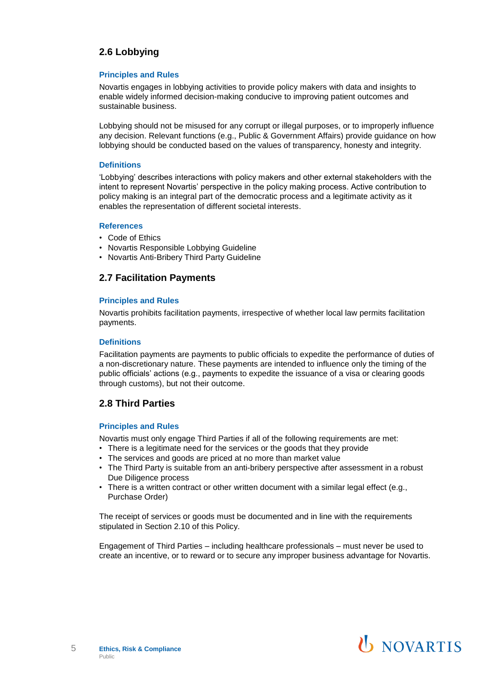# **2.6 Lobbying**

#### **Principles and Rules**

Novartis engages in lobbying activities to provide policy makers with data and insights to enable widely informed decision-making conducive to improving patient outcomes and sustainable business.

Lobbying should not be misused for any corrupt or illegal purposes, or to improperly influence any decision. Relevant functions (e.g., Public & Government Affairs) provide guidance on how lobbying should be conducted based on the values of transparency, honesty and integrity.

#### **Definitions**

'Lobbying' describes interactions with policy makers and other external stakeholders with the intent to represent Novartis' perspective in the policy making process. Active contribution to policy making is an integral part of the democratic process and a legitimate activity as it enables the representation of different societal interests.

#### **References**

- Code of Ethics
- Novartis Responsible Lobbying Guideline
- Novartis Anti-Bribery Third Party Guideline

# **2.7 Facilitation Payments**

#### **Principles and Rules**

Novartis prohibits facilitation payments, irrespective of whether local law permits facilitation payments.

#### **Definitions**

Facilitation payments are payments to public officials to expedite the performance of duties of a non-discretionary nature. These payments are intended to influence only the timing of the public officials' actions (e.g., payments to expedite the issuance of a visa or clearing goods through customs), but not their outcome.

# **2.8 Third Parties**

#### **Principles and Rules**

Novartis must only engage Third Parties if all of the following requirements are met:

- There is a legitimate need for the services or the goods that they provide
- The services and goods are priced at no more than market value
- The Third Party is suitable from an anti-bribery perspective after assessment in a robust Due Diligence process
- There is a written contract or other written document with a similar legal effect (e.g., Purchase Order)

The receipt of services or goods must be documented and in line with the requirements stipulated in Section 2.10 of this Policy.

Engagement of Third Parties – including healthcare professionals – must never be used to create an incentive, or to reward or to secure any improper business advantage for Novartis.

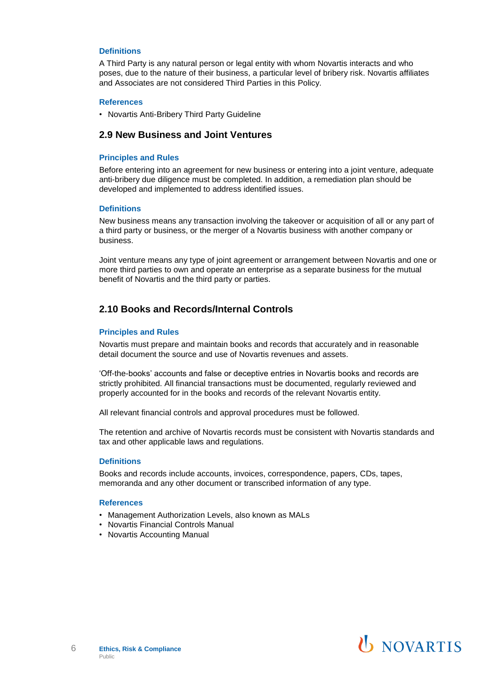#### **Definitions**

A Third Party is any natural person or legal entity with whom Novartis interacts and who poses, due to the nature of their business, a particular level of bribery risk. Novartis affiliates and Associates are not considered Third Parties in this Policy.

#### **References**

• Novartis Anti-Bribery Third Party Guideline

### **2.9 New Business and Joint Ventures**

#### **Principles and Rules**

Before entering into an agreement for new business or entering into a joint venture, adequate anti-bribery due diligence must be completed. In addition, a remediation plan should be developed and implemented to address identified issues.

#### **Definitions**

New business means any transaction involving the takeover or acquisition of all or any part of a third party or business, or the merger of a Novartis business with another company or business.

Joint venture means any type of joint agreement or arrangement between Novartis and one or more third parties to own and operate an enterprise as a separate business for the mutual benefit of Novartis and the third party or parties.

# **2.10 Books and Records/Internal Controls**

#### **Principles and Rules**

Novartis must prepare and maintain books and records that accurately and in reasonable detail document the source and use of Novartis revenues and assets.

'Off-the-books' accounts and false or deceptive entries in Novartis books and records are strictly prohibited. All financial transactions must be documented, regularly reviewed and properly accounted for in the books and records of the relevant Novartis entity.

All relevant financial controls and approval procedures must be followed.

The retention and archive of Novartis records must be consistent with Novartis standards and tax and other applicable laws and regulations.

#### **Definitions**

Books and records include accounts, invoices, correspondence, papers, CDs, tapes, memoranda and any other document or transcribed information of any type.

#### **References**

- Management Authorization Levels, also known as MALs
- Novartis Financial Controls Manual
- Novartis Accounting Manual